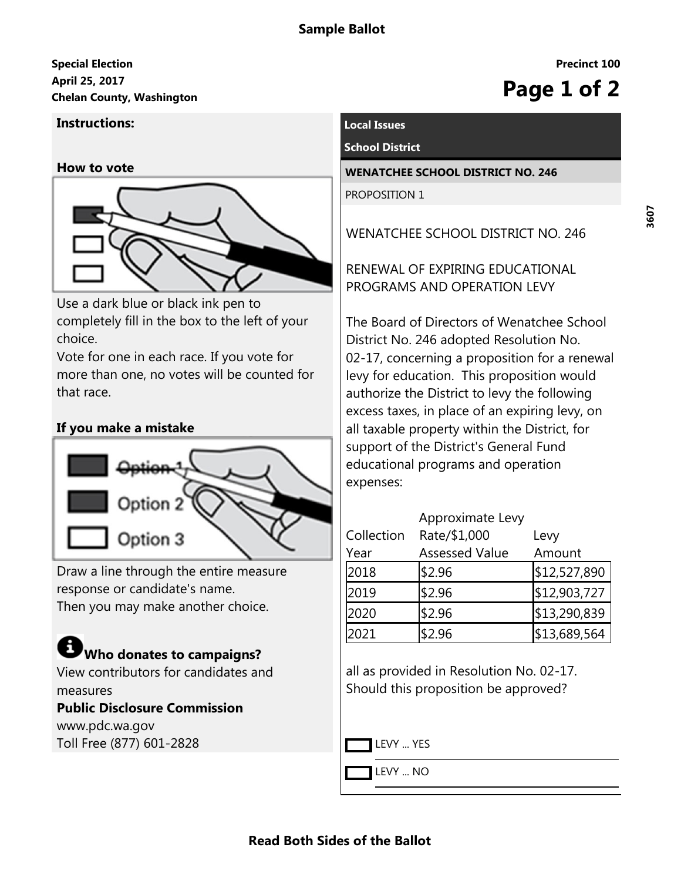## **April 25, 2017 Special Election** April 25, 2017<br>Chelan County, Washington<br> **Chelan County, Washington**

#### **Instructions:**

**How to vote**



Use a dark blue or black ink pen to completely fill in the box to the left of your choice.

Vote for one in each race. If you vote for more than one, no votes will be counted for that race.

## **If you make a mistake**



Draw a line through the entire measure response or candidate's name. Then you may make another choice.

# **Who donates to campaigns?**

View contributors for candidates and measures

## **Public Disclosure Commission**

www.pdc.wa.gov Toll Free (877) 601-2828

## **Local Issues**

#### **School District**

**WENATCHEE SCHOOL DISTRICT NO. 246** PROPOSITION 1

WENATCHEE SCHOOL DISTRICT NO. 246

RENEWAL OF EXPIRING EDUCATIONAL PROGRAMS AND OPERATION LEVY

The Board of Directors of Wenatchee School District No. 246 adopted Resolution No. 02-17, concerning a proposition for a renewal levy for education. This proposition would authorize the District to levy the following excess taxes, in place of an expiring levy, on all taxable property within the District, for support of the District's General Fund educational programs and operation expenses:

|            | Approximate Levy      |              |
|------------|-----------------------|--------------|
| Collection | Rate/\$1,000          | Levy         |
| Year       | <b>Assessed Value</b> | Amount       |
| 2018       | \$2.96                | \$12,527,890 |
| 2019       | \$2.96                | \$12,903,727 |
| 2020       | \$2.96                | \$13,290,839 |
| 2021       | \$2.96                | \$13,689,564 |

all as provided in Resolution No. 02-17. Should this proposition be approved?

LEVY ... YES

LEVY ... NO

**Precinct 100**